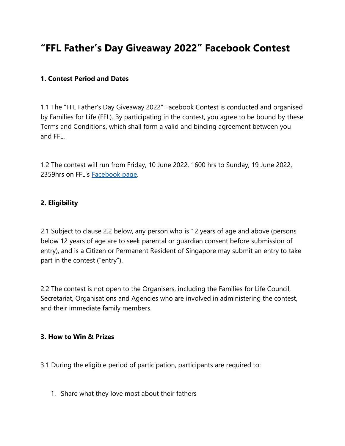# **"FFL Father's Day Giveaway 2022" Facebook Contest**

#### **1. Contest Period and Dates**

1.1 The "FFL Father's Day Giveaway 2022" Facebook Contest is conducted and organised by Families for Life (FFL). By participating in the contest, you agree to be bound by these Terms and Conditions, which shall form a valid and binding agreement between you and FFL.

1.2 The contest will run from Friday, 10 June 2022, 1600 hrs to Sunday, 19 June 2022, 2359hrs on FFL's [Facebook page.](https://www.facebook.com/familiesforlife.sg)

#### **2. Eligibility**

2.1 Subject to clause 2.2 below, any person who is 12 years of age and above (persons below 12 years of age are to seek parental or guardian consent before submission of entry), and is a Citizen or Permanent Resident of Singapore may submit an entry to take part in the contest ("entry").

2.2 The contest is not open to the Organisers, including the Families for Life Council, Secretariat, Organisations and Agencies who are involved in administering the contest, and their immediate family members.

#### **3. How to Win & Prizes**

- 3.1 During the eligible period of participation, participants are required to:
	- 1. Share what they love most about their fathers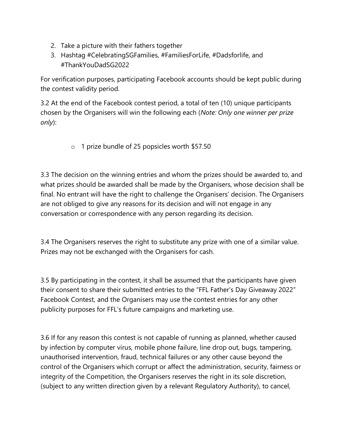- 2. Take a picture with their fathers together
- 3. Hashtag #CelebratingSGFamilies, #FamiliesForLife, #Dadsforlife, and #ThankYouDadSG2022

For verification purposes, participating Facebook accounts should be kept public during the contest validity period.

3.2 At the end of the Facebook contest period, a total of ten (10) unique participants chosen by the Organisers will win the following each (*Note: Only one winner per prize only*):

o 1 prize bundle of 25 popsicles worth \$57.50

3.3 The decision on the winning entries and whom the prizes should be awarded to, and what prizes should be awarded shall be made by the Organisers, whose decision shall be final. No entrant will have the right to challenge the Organisers' decision. The Organisers are not obliged to give any reasons for its decision and will not engage in any conversation or correspondence with any person regarding its decision.

3.4 The Organisers reserves the right to substitute any prize with one of a similar value. Prizes may not be exchanged with the Organisers for cash.

3.5 By participating in the contest, it shall be assumed that the participants have given their consent to share their submitted entries to the "FFL Father's Day Giveaway 2022" Facebook Contest, and the Organisers may use the contest entries for any other publicity purposes for FFL's future campaigns and marketing use.

3.6 If for any reason this contest is not capable of running as planned, whether caused by infection by computer virus, mobile phone failure, line drop out, bugs, tampering, unauthorised intervention, fraud, technical failures or any other cause beyond the control of the Organisers which corrupt or affect the administration, security, fairness or integrity of the Competition, the Organisers reserves the right in its sole discretion, (subject to any written direction given by a relevant Regulatory Authority), to cancel,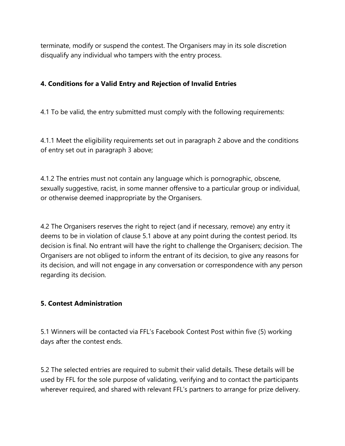terminate, modify or suspend the contest. The Organisers may in its sole discretion disqualify any individual who tampers with the entry process.

### **4. Conditions for a Valid Entry and Rejection of Invalid Entries**

4.1 To be valid, the entry submitted must comply with the following requirements:

4.1.1 Meet the eligibility requirements set out in paragraph 2 above and the conditions of entry set out in paragraph 3 above;

4.1.2 The entries must not contain any language which is pornographic, obscene, sexually suggestive, racist, in some manner offensive to a particular group or individual, or otherwise deemed inappropriate by the Organisers.

4.2 The Organisers reserves the right to reject (and if necessary, remove) any entry it deems to be in violation of clause 5.1 above at any point during the contest period. Its decision is final. No entrant will have the right to challenge the Organisers; decision. The Organisers are not obliged to inform the entrant of its decision, to give any reasons for its decision, and will not engage in any conversation or correspondence with any person regarding its decision.

#### **5. Contest Administration**

5.1 Winners will be contacted via FFL's Facebook Contest Post within five (5) working days after the contest ends.

5.2 The selected entries are required to submit their valid details. These details will be used by FFL for the sole purpose of validating, verifying and to contact the participants wherever required, and shared with relevant FFL's partners to arrange for prize delivery.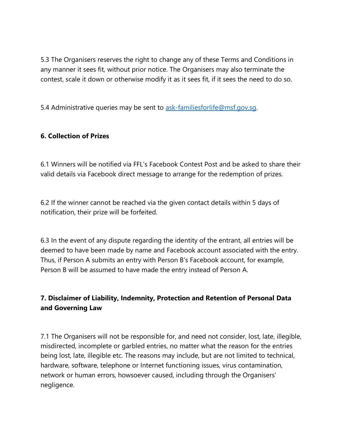5.3 The Organisers reserves the right to change any of these Terms and Conditions in any manner it sees fit, without prior notice. The Organisers may also terminate the contest, scale it down or otherwise modify it as it sees fit, if it sees the need to do so.

5.4 Administrative queries may be sent to ask-familiesforlife@msf.gov.sq.

## **6. Collection of Prizes**

6.1 Winners will be notified via FFL's Facebook Contest Post and be asked to share their valid details via Facebook direct message to arrange for the redemption of prizes.

6.2 If the winner cannot be reached via the given contact details within 5 days of notification, their prize will be forfeited.

6.3 In the event of any dispute regarding the identity of the entrant, all entries will be deemed to have been made by name and Facebook account associated with the entry. Thus, if Person A submits an entry with Person B's Facebook account, for example, Person B will be assumed to have made the entry instead of Person A.

## **7. Disclaimer of Liability, Indemnity, Protection and Retention of Personal Data and Governing Law**

7.1 The Organisers will not be responsible for, and need not consider, lost, late, illegible, misdirected, incomplete or garbled entries, no matter what the reason for the entries being lost, late, illegible etc. The reasons may include, but are not limited to technical, hardware, software, telephone or Internet functioning issues, virus contamination, network or human errors, howsoever caused, including through the Organisers' negligence.